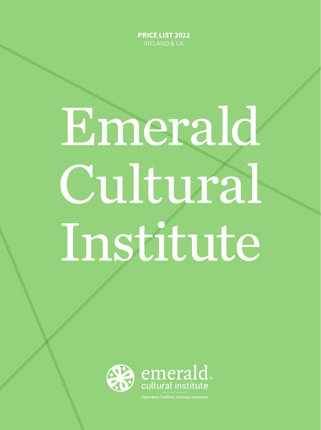**PRICE LIST 2022** IRELAND & UK

# Emerald Cultural Institute



<u>.</u><br>Experience Tradition, Embrace Innovati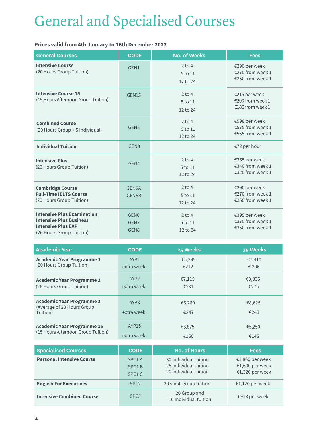# *General and Specialised Courses*

# **Prices valid from 4th January to 16th December 2022**

| <b>General Courses</b>                                                                                                       | <b>CODE</b>                                  | <b>No. of Weeks</b>             | <b>Fees</b>                                             |
|------------------------------------------------------------------------------------------------------------------------------|----------------------------------------------|---------------------------------|---------------------------------------------------------|
| <b>Intensive Course</b><br>(20 Hours Group Tuition)                                                                          | GEN1                                         | $2$ to 4<br>5 to 11<br>12 to 24 | €290 per week<br>€270 from week 1<br>€250 from week 1   |
| <b>Intensive Course 15</b><br>(15 Hours Afternoon Group Tuition)                                                             | GEN15                                        | $2$ to 4<br>5 to 11<br>12 to 24 | €215 per week<br>€200 from week 1<br>€185 from week 1   |
| <b>Combined Course</b><br>(20 Hours Group + 5 Individual)                                                                    | GEN <sub>2</sub>                             | $2$ to 4<br>5 to 11<br>12 to 24 | €598 per week<br>€575 from week 1<br>€555 from week 1   |
| <b>Individual Tuition</b>                                                                                                    | GEN <sub>3</sub>                             |                                 | €72 per hour                                            |
| <b>Intensive Plus</b><br>(26 Hours Group Tuition)                                                                            | GEN4                                         | $2$ to 4<br>5 to 11<br>12 to 24 | €365 per week<br>€340 from week 1<br>€320 from week 1   |
| <b>Cambridge Course</b><br><b>Full-Time IELTS Course</b><br>(20 Hours Group Tuition)                                         | GEN5A<br>GEN5B                               | $2$ to 4<br>5 to 11<br>12 to 24 | €290 per week<br>€270 from week 1<br>€250 from week 1   |
| <b>Intensive Plus Examination</b><br><b>Intensive Plus Business</b><br><b>Intensive Plus EAP</b><br>(26 Hours Group Tuition) | GEN <sub>6</sub><br>GEN7<br>GEN <sub>8</sub> | $2$ to 4<br>5 to 11<br>12 to 24 | €395 per week<br>€370 from week 1<br>$£350$ from week 1 |

| <b>Academic Year</b>                                                       | <b>CODE</b>                    | 25 Weeks       | 35 Weeks       |
|----------------------------------------------------------------------------|--------------------------------|----------------|----------------|
| <b>Academic Year Programme 1</b>                                           | AYP1                           | €5,395         | €7,410         |
| (20 Hours Group Tuition)                                                   | extra week                     | €212           | € 206          |
| <b>Academic Year Programme 2</b>                                           | AYP <sub>2</sub>               | €7,115         | €9,835         |
| (26 Hours Group Tuition)                                                   | extra week                     | €284           | €275           |
| <b>Academic Year Programme 3</b><br>(Average of 23 Hours Group<br>Tuition) | AYP <sub>3</sub><br>extra week | €6,260<br>€247 | €8,625<br>€243 |
| <b>Academic Year Programme 15</b>                                          | <b>AYP15</b>                   | €3,875         | €5,250         |
| (15 Hours Afternoon Group Tuition)                                         | extra week                     | €150           | €145           |

| <b>Specialised Courses</b>       | <b>CODE</b>                                       | <b>No. of Hours</b>                                                     | <b>Fees</b>                                           |
|----------------------------------|---------------------------------------------------|-------------------------------------------------------------------------|-------------------------------------------------------|
| <b>Personal Intensive Course</b> | SPC <sub>1</sub> A<br>SPC <sub>1</sub> B<br>SPC1C | 30 individual tuition<br>25 individual tuition<br>20 individual tuition | €1,860 per week<br>€1,600 per week<br>€1,320 per week |
| <b>English For Executives</b>    | SPC <sub>2</sub>                                  | 20 small group tuition                                                  | €1,120 per week                                       |
| <b>Intensive Combined Course</b> | SPC <sub>3</sub>                                  | 20 Group and<br>10 Individual tuition                                   | €918 per week                                         |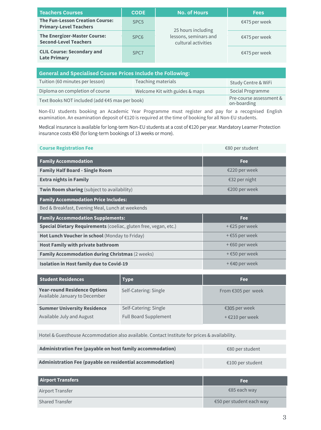| <b>Teachers Courses</b>                                                 | <b>CODE</b>      | <b>No. of Hours</b>                                                | <b>Fees</b>     |
|-------------------------------------------------------------------------|------------------|--------------------------------------------------------------------|-----------------|
| <b>The Fun-Lesson Creation Course:</b><br><b>Primary-Level Teachers</b> | SPC <sub>5</sub> | 25 hours including<br>lessons, seminars and<br>cultural activities | $€475$ per week |
| <b>The Energizer-Master Course:</b><br><b>Second-Level Teachers</b>     | SPC <sub>6</sub> |                                                                    | $€475$ per week |
| <b>CLIL Course: Secondary and</b><br><b>Late Primary</b>                | SPC <sub>7</sub> |                                                                    | $€475$ per week |

| <b>General and Specialised Course Prices Include the Following:</b> |                                |                                        |  |
|---------------------------------------------------------------------|--------------------------------|----------------------------------------|--|
| Tuition (60 minutes per lesson)                                     | Teaching materials             | Study Centre & WiFi                    |  |
| Diploma on completion of course                                     | Welcome Kit with guides & maps | Social Programme                       |  |
| Text Books NOT included (add €45 max per book)                      |                                | Pre-course assessment &<br>on-boarding |  |

Non-EU students booking an Academic Year Programme must register and pay for a recognised English examination. An examination deposit of €120 is required at the time of booking for all Non-EU students.

Medical insurance is available for long-term Non-EU students at a cost of €120 per year. Mandatory Learner Protection insurance costs €50 (for long-term bookings of 13 weeks or more).

| <b>Course Registration Fee</b>                                          | €80 per student            |  |  |
|-------------------------------------------------------------------------|----------------------------|--|--|
| <b>Family Accommodation</b>                                             | <b>Fee</b>                 |  |  |
| <b>Family Half Board - Single Room</b>                                  | €220 per week              |  |  |
| <b>Extra nights in Family</b>                                           | €32 per night              |  |  |
| Twin Room sharing (subject to availability)                             | €200 per week              |  |  |
| <b>Family Accommodation Price Includes:</b>                             |                            |  |  |
| Bed & Breakfast, Evening Meal, Lunch at weekends                        |                            |  |  |
|                                                                         |                            |  |  |
| <b>Family Accommodation Supplements:</b>                                | Fee                        |  |  |
| <b>Special Dietary Requirements</b> (coeliac, gluten free, vegan, etc.) | + €25 per week             |  |  |
| Hot Lunch Voucher in school (Monday to Friday)                          | + €55 per week             |  |  |
| <b>Host Family with private bathroom</b>                                | $+ \epsilon$ 60 per week   |  |  |
| <b>Family Accommodation during Christmas (2 weeks)</b>                  | $+$ $\epsilon$ 50 per week |  |  |
| <b>Isolation in Host family due to Covid-19</b>                         | + €40 per week             |  |  |

| <b>Student Residences</b>                                            | <b>Type</b>                  | Fee:                        |
|----------------------------------------------------------------------|------------------------------|-----------------------------|
| <b>Year-round Residence Options</b><br>Available January to December | Self-Catering: Single        | From $€305$ per week        |
| <b>Summer University Residence</b>                                   | Self-Catering: Single        | €305 per week               |
| Available July and August                                            | <b>Full Board Supplement</b> | $+$ $\epsilon$ 210 per week |

Hotel & Guesthouse Accommodation also available. Contact Institute for prices & availability.

| Administration Fee (payable on host family accommodation) | €80 per student  |
|-----------------------------------------------------------|------------------|
| Administration Fee (payable on residential accommodation) | €100 per student |

| <b>Airport Transfers</b> | <b>Fee</b>               |
|--------------------------|--------------------------|
| <b>Airport Transfer</b>  | €85 each way             |
| <b>Shared Transfer</b>   | €50 per student each way |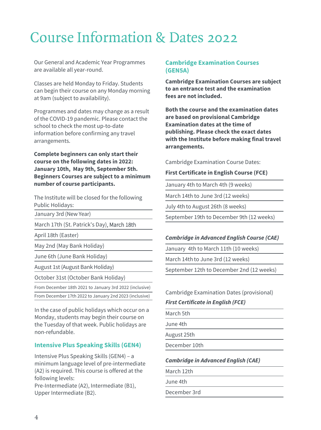# *Course Information & Dates 2022*

Our General and Academic Year Programmes are available all year-round.

Classes are held Monday to Friday. Students can begin their course on any Monday morning at 9am (subject to availability).

Programmes and dates may change as a result of the COVID-19 pandemic. Please contact the school to check the most up-to-date information before confirming any travel arrangements.

**Complete beginners can only start their course on the following dates in 2022: January 10th, May 9th, September 5th. Beginners Courses are subject to a minimum number of course participants.** 

The Institute will be closed for the following Public Holidays:

January 3rd (New Year)

March 17th (St. Patrick's Day), March 18th

April 18th (Easter)

May 2nd (May Bank Holiday)

June 6th (June Bank Holiday)

August 1st (August Bank Holiday)

October 31st (October Bank Holiday)

From December 18th 2021 to January 3rd 2022 (inclusive) From December 17th 2022 to January 2nd 2023 (inclusive)

In the case of public holidays which occur on a Monday, students may begin their course on the Tuesday of that week. Public holidays are non-refundable.

# **Intensive Plus Speaking Skills (GEN4)**

Intensive Plus Speaking Skills (GEN4) – a minimum language level of pre-intermediate (A2) is required. This course is offered at the following levels:

Pre-Intermediate (A2), Intermediate (B1), Upper Intermediate (B2).

# **Cambridge Examination Courses (GEN5A)**

**Cambridge Examination Courses are subject to an entrance test and the examination fees are not included.**

**Both the course and the examination dates are based on provisional Cambridge Examination dates at the time of publishing. Please check the exact dates with the Institute before making final travel arrangements.**

Cambridge Examination Course Dates:

## **First Certificate in English Course (FCE)**

January 4th to March 4th (9 weeks)

March 14th to June 3rd (12 weeks)

July 4th to August 26th (8 weeks)

September 19th to December 9th (12 weeks)

# **Cambridge in Advanced English Course (CAE)**

January 4th to March 11th (10 weeks)

March 14th to June 3rd (12 weeks)

September 12th to December 2nd (12 weeks)

## Cambridge Examination Dates (provisional)

## **First Certificate in English (FCE)**

March 5th

June 4th

August 25th

December 10th

# **Cambridge in Advanced English (CAE)**

March 12th

June 4th

December 3rd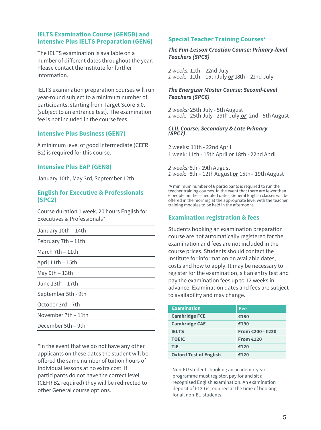# **IELTS Examination Course (GEN5B) and Intensive Plus IELTS Preparation (GEN6)**

The IELTS examination is available on a number of different dates throughout the year. Please contact the Institute for further information.

IELTS examination preparation courses will run year-round subject to a minimum number of participants, starting from Target Score 5.0. (subject to an entrance test). The examination fee is not included in the course fees.

# **Intensive Plus Business (GEN7)**

A minimum level of good intermediate (CEFR B2) is required for this course.

# **Intensive Plus EAP (GEN8)**

January 10th, May 3rd, September 12th

# **English for Executive & Professionals (SPC2)**

Course duration 1 week, 20 hours English for Executives & Professionals\*

| January 10th - 14th |  |
|---------------------|--|
| February 7th - 11th |  |
| March $7th - 11th$  |  |
| April 11th - 15th   |  |
| May 9th – 13th      |  |
| June 13th – 17th    |  |
| September 5th - 9th |  |
| October 3rd - 7th   |  |
| November 7th – 11th |  |
| December 5th – 9th  |  |
|                     |  |

\*In the event that we do not have any other applicants on these dates the student will be offered the same number of tuition hours of individual lessons at no extra cost. If participants do not have the correct level (CEFR B2 required) they will be redirected to other General course options.

# **Special Teacher Training Courses\***

# **The Fun-Lesson Creation Course: Primary-level Teachers (SPC5)**

2 weeks: 11th – 22nd July 1 week: 11th – 15thJuly **or** 18th – 22nd July

# **The Energizer Master Course: Second-Level Teachers (SPC6)**

2 weeks: 25th July - 5th August 1 week: 25th July– 29th July **or** 2nd– 5th August

### **CLIL Course: Secondary & Late Primary (SPC7)**

2 weeks: 11th - 22nd April 1 week: 11th - 15th April or 18th - 22nd April

2 weeks: 8th - 19th August 1 week: 8th – 12thAugust **or** 15th– 19thAugust

\*A minimum number of 6 participants is required to run the teacher training courses. In the event that there are fewer than 6 people on the scheduled dates, General English classes will be offered in the morning at the appropriate level with the teacher training modules to be held in the afternoons.

# **Examination registration & fees**

Students booking an examination preparation course are not automatically registered for the examination and fees are not included in the course prices. Students should contact the Institute for information on available dates, costs and how to apply. It may be necessary to register for the examination, sit an entry test and pay the examination fees up to 12 weeks in advance. Examination dates and fees are subject to availability and may change.

| <b>Examination</b>            | Fee              |
|-------------------------------|------------------|
| <b>Cambridge FCE</b>          | €180             |
| <b>Cambridge CAE</b>          | €190             |
| <b>IELTS</b>                  | From €200 - €220 |
| <b>TOEIC</b>                  | From $£120$      |
| <b>TIE</b>                    | €120             |
| <b>Oxford Test of English</b> | €120             |

Non-EU students booking an academic year programme must register, pay for and sit a recognised English examination. An examination deposit of €120 is required at the time of booking for all non-EU students.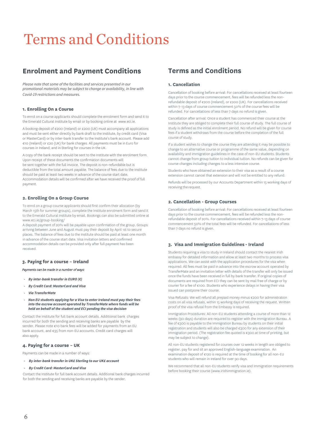# Terms and Conditions

# **Enrolment and Payment Conditions**

Please note that some of the facilities and services presented in our promotional materials may be subject to change or availability, in line with Covid-19 restrictions and measures.

#### **1. Enrolling On a Course**

To enrol on a course applicants should complete the enrolment form and send it to the Emerald Cultural Institute by email or by booking online at www.eci.ie.

A booking deposit of €200 (Ireland) or £200 (UK) must accompany all applications and must be sent either directly by bank draft to the Institute, by credit card (Visa or MasterCard) or by inter-bank transfer to the Institute's bank account. Please add €10 (Ireland) or £20 (UK) for bank charges. All payments must be in Euro for courses in Ireland, and in Sterling for courses in the UK.

A copy of the bank receipt should be sent to the Institute with the enrolment form. Upon receipt of these documents the confirmation documents will be sent together with the full invoice. The deposit is non-refundable but is deductible from the total amount payable. The balance of fees due to the Institute should be paid at least two weeks in advance of the course start date. Accommodation details will be confirmed after we have received the proof of full payment.

#### **2. Enrolling On a Group Course**

To enrol on a group course applicants should first confirm their allocation (by March 15th for summer groups), complete the Institute enrolment form and send it to the Emerald Cultural Institute by email. Bookings can also be submitted online at www.eci.ie/group-booking/

A deposit payment of 20% will be payable upon confirmation of the group. Groups arriving between June and August must pay their deposit by April 1st to secure places. The balance of fees due to the Institute should be paid at least one month in advance of the course start date. Visa invitation letters and confirmed accommodation details can be provided only after full payment has been received.

#### **3. Paying for a course – Ireland**

#### Payments can be made in a number of ways:

- *-* **By inter-bank transfer in EURO (€)**
- *-* **By Credit Card: MasterCard and Visa**
- *-* **Via TransferMate**
- *-* **Non EU students applying for a Visa to enter Ireland must pay their fees into the escrow account operated by TransferMate where funds will be held on behalf of the student and ECI pending the visa decision**

Contact the Institute for full bank account details. Additional bank charges incurred for both the sending and receiving banks are payable by the sender. Please note €10 bank fees will be added for payments from an EU bank account, and €35 from non-EU accounts. Credit card charges will also apply.

#### **4. Paying for a course – UK**

Payments can be made in a number of ways:

*-* **By inter-bank transfer in UK£ Sterling to our UK£ account**

#### *-* **By Credit Card: MasterCard and Visa**

Contact the Institute for full bank account details. Additional bank charges incurred for both the sending and receiving banks are payable by the sender.

# **Terms and Conditions**

#### **1. Cancellation**

Cancellation of booking before arrival: For cancellations received at least fourteen days prior to the course commencement, fees will be refunded less the nonrefundable deposit of €200 (Ireland), or £200 (UK). For cancellations received within 7-13 days of course commencement 50% of the course fees will be refunded. For cancellations of less than 7 days no refund is given.

Cancellation after arrival: Once a student has commenced their course at the Institute they are obliged to complete their full course of study. The full course of study is defined as the initial enrolment period. No refund will be given for course fees if a student withdraws from the course before the completion of the full course of study.

If a student wishes to change the course they are attending it may be possible to change to an alternative course or programme of the same value, depending on availability and immigration guidelines in the case of non-EU students. Students cannot change from group tuition to individual tuition. No refunds can be given for course changes including changes to a less intensive course.

Students who have obtained an extension to their visa as a result of a course extension cannot cancel that extension and will not be entitled to any refund.

Refunds will be processed by our Accounts Department within 15 working days of receiving the request.

#### **2. Cancellation - Group Courses**

Cancellation of booking before arrival: For cancellations received at least fourteen days prior to the course commencement, fees will be refunded less the nonrefundable deposit of 20%. For cancellations received within 7-13 days of course commencement 50% of the total fees will be refunded. For cancellations of less than 7 days no refund is given.

#### **3. Visa and Immigration Guidelines - Ireland**

Students requiring a visa to study in Ireland should contact the nearest Irish embassy for detailed information and allow at least two months to process visa applications. We can assist with the application procedures for the visa when required. All fees must be paid in advance into the escrow account operated by TransferMate and an invitation letter with details of the transfer will only be issued once the funds have been received in full by bank transfer. If original copies of documents are required from ECI they can be sent by mail free of charge or by courier for a fee of €100. Students who experience delays in having their visa issued can postpone their course.

Visa Refusals: We will refund all prepaid money minus €200 for administration costs on all visa refusals, within 15 working days of receiving the request. Written proof of the visa refusal from the Embassy is required.

Immigration Procedures: All non-EU students attending a course of more than 12 weeks (90 days) duration are required to register with the Immigration Bureau. A fee of €300 is payable to the Immigration Bureau by students on their initial registration and students will also be charged €300 for any extension of their immigration period. (The registration fee quoted is €300 at time of printing, but may be subject to change).

All non-EU students registered for courses over 12 weeks in length are obliged to register, pay for and sit an approved English-language examination. An examination deposit of €120 is required at the time of booking for all non-EU students who will remain in Ireland for over 90 days.

We recommend that all non-EU students verify visa and Immigration requirements before booking their course (www.irishimmigration.ie).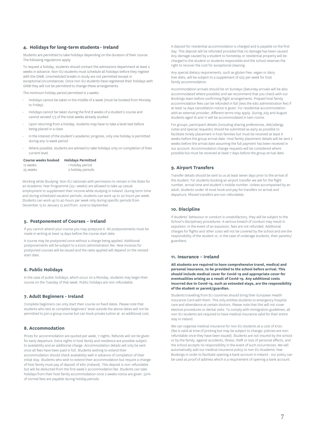#### **4. Holidays for long-term students - Ireland**

Students are permitted to take holidays depending on the duration of their course. The following regulations apply:

To request a holiday, students should contact the admissions department at least 2 weeks in advance. Non-EU students must schedule all holidays before they register with the GNIB. Unscheduled breaks in study are not permitted except in exceptional circumstances. Once non-EU students have registered their holidays with GNIB they will not be permitted to change these arrangements.

The minimum holiday period permitted is 2 weeks

- Holidays cannot be taken in the middle of a week (must be booked from Monday to Friday)
- Holidays cannot be taken during the first 8 weeks of a student's course and cannot exceed 1/3 of the total weeks already studied
- Upon returning from a holiday, students may have to take a level test before being placed in a class
- In the interest of the student's academic progress, only one holiday is permitted during any 12 week period
- Where possible, students are advised to take holidays only on completion of their current level.

| Course weeks booked |  | <b>Holidays Permitted</b> |
|---------------------|--|---------------------------|
|---------------------|--|---------------------------|

| 12 weeks | 1 holiday period  |
|----------|-------------------|
| 25 weeks | 2 holiday periods |

Working while Studying: Non-EU nationals with permission to remain in the State for an Academic Year Programme (25+ weeks) are allowed to take up casual employment to supplement their income while studying in Ireland. During term-time and during scheduled vacation periods, students can work up to 20 hours per week. Students can work up to 40 hours per week only during specific periods from December 15 to January 15 and from June to September.

#### **5. Postponement of Courses – Ireland**

If you cannot attend your course you may postpone it. All postponements must be made in writing at least 14 days before the course start date.

A course may be postponed once without a charge being applied. Additional postponements will be subject to a €200 administration fee. New invoices for postponed courses will be issued and the rates applied will depend on the revised start date.

#### **6. Public Holidays**

In the case of public holidays, which occur on a Monday, students may begin their course on the Tuesday of that week. Public holidays are non-refundable.

#### **7. Adult Beginners - Ireland**

Complete beginners can only start their course on fixed dates. Please note that students who test at complete beginners' level outside the above dates will not be permitted to join a group course but can book private tuition at an additional cost.

#### **8. Accommodation**

Prices for accommodation are quoted per week, 7 nights. Refunds will not be given for early departure. Extra nights in host family and residence are possible subject to availability and an additional charge. Accommodation details will only be sent once all fees have been paid in full. Students wishing to extend their accommodation should check availability well in advance of completion of their initial stay. Students who wish to extend their accommodation but require a change of host family must pay of deposit of €80 (Ireland). This deposit is non-refundable but will be deducted from the first week's accommodation fee. Students can take holidays from their host family accommodation once 2 weeks notice are given. 50% of normal fees are payable during holiday periods.

A deposit for residential accommodation is charged and is payable on the first day. This deposit will be refunded provided that no damage has been caused. Any damage caused by a student to homestay or residential property will be charged to the student or students responsible and the school reserves the right to recover the cost for exceptional cleaning.

Any special dietary requirements, such as gluten free, vegan or dairy free diets, will be subject to a supplement of €25 per week for host family accommodation.

Accommodation arrivals should be on Sundays (Saturday arrivals will be also accommodated where possible) and we recommend that you check with our Bookings team before confirming flight arrangements. Prepaid host family accommodation fees can be refunded in full (less the €80 administration fee) if at least 14 days cancellation notice is given. For residential accommodation with an external provider, different terms may apply. During July and August students aged 16 and 17 will be accommodated in twin rooms.

For groups, participant details (including sharing preferences, diet/allergy notes and special requests) should be submitted as early as possible to facilitate timely placement in host families but must be received at least 6 weeks before the group arrival date. Host family placement details will be sent 2 weeks before the arrival date assuming the full payment has been received in our account. Accommodation change requests will be considered where possible but must be received at least 7 days before the group arrival date.

#### **9. Airport Transfers**

Transfer details should be sent to us at least seven days prior to the arrival of the student. For students booking an airport transfer we ask for the flight number, arrival time and student's mobile number. Unless accompanied by an adult, students under 18 must book and pay for transfers on arrival and departure. Missed transfers are non-refundable.

#### **10. Discipline**

If students' behaviour or conduct is unsatisfactory, they will be subject to the School's disciplinary procedures. A serious breach of conduct may result in expulsion. In the event of an expulsion, fees are not refunded. Additional charges for flights and other costs will not be covered by the school and are the responsibility of the student or, in the case of underage students, their parents/ guardians.

#### **11. Insurance – Ireland**

**All students are required to have comprehensive travel, medical and personal insurance, to be provided to the school before arrival. This should include medical cover for Covid-19 and appropriate cover for eventualities arising as a result of Covid-19. Any additional costs incurred due to Covid-19, such as extended stays, are the responsibility of the student or parent/guardian.** 

Students travelling from EU countries should bring their European Health Insurance Card with them. This only entitles students to emergency hospital care and attendance at certain doctors. Please note that this will not cover elective procedures or dental visits. To comply with immigration guidelines, all non-EU students are required to have medical insurance valid for their entire stay in Ireland.

We can organise medical insurance for non-EU students at a cost of €120 (fee is valid at time of printing but may be subject to change; policies are nonrefundable once they have been issued). Students are not insured by the school or by the family, against accidents, illness, theft or loss of personal effects, and the school accepts no responsibility in the event of such occurrences. We will automatically add our medical insurance policy to non-EU Academic Year Bookings in order to facilitate opening a bank account in Ireland - our policy can be used as proof of address which is a requirement of opening a bank account.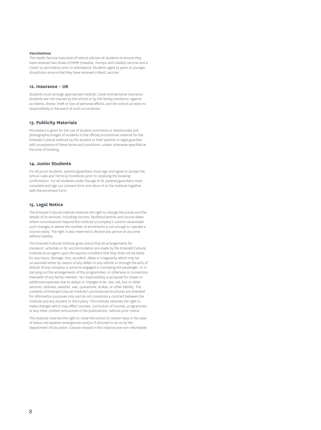#### **Vaccinations**

The Health Service Executive of Ireland advises all students to ensure they have received two doses of MMR (measles, mumps and rubella) vaccine and a Covid-19 vaccination prior to attendance. Students aged 23 years or younger should also ensure that they have received a MenC vaccine.

#### **12. Insurance – UK**

Students must arrange appropriate medical, travel and personal insurance. Students are not insured by the school or by the family/residence, against accidents, illness, theft or loss of personal effects, and the school accepts no responsibility in the event of such occurrences.

#### **13. Publicity Materials**

Permission is given for the use of student comments or testimonials and photographs/images of students in the official promotional material for the Emerald Cultural Institute by the student or their parents or legal guardian with acceptance of these terms and conditions, unless otherwise specified at the time of booking.

#### **14. Junior Students**

For all junior students, parents/guardians must sign and agree to accept the school rules and Terms & Conditions prior to receiving the booking confirmation. For all students under the age of 18, parents/guardians must complete and sign our consent form and return it to the Institute together with the enrolment form.

#### **15. Legal Notice**

The Emerald Cultural Institute reserves the right to change the prices and the details of its services, including courses, facilities/centres and course dates where circumstances beyond the Institute's/company's control necessitate such changes or where the number of enrolments is not enough to operate a course viably. The right is also reserved to decline any person at any time without liability.

The Emerald Cultural Institute gives notice that all arrangements for transport, activities or for accommodation are made by the Emerald Cultural Institute as an agent upon the express condition that they shall not be liable for any injury, damage, loss, accident, delay or irregularity which may be occasioned either by reason of any defect in any vehicle or through the acts of default of any company or persons engaged in conveying the passenger, or in carrying out the arrangements of the programmes, or otherwise in connection therewith of any family member. No responsibility is accepted for losses or additional expenses due to delays or changes in air, sea, rail, bus or other services, sickness, weather, war, quarantine, strikes, or other liability. The contents of Emerald Cultural Institute's promotional brochures are intended for information purposes only and do not constitute a contract between the Institute and any student or third party. The Institute reserves the right to make changes which may effect courses, curriculum of courses, programmes or any other content announced in the publications, without prior notice.

The Institute reserves the right to close the school on certain days in the case of status red weather emergencies and/or if directed to do so by the Department of Education. Classes missed in this instance are non-refundable.